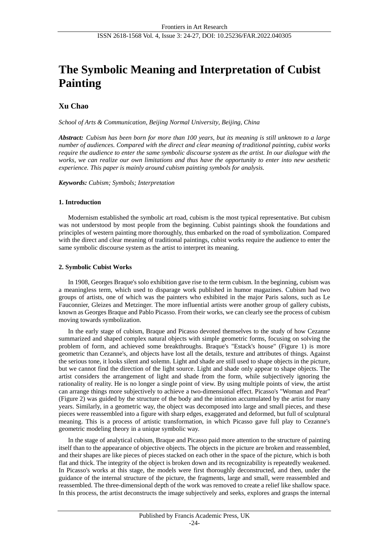# **The Symbolic Meaning and Interpretation of Cubist Painting**

# **Xu Chao**

*School of Arts & Communication, Beijing Normal University, Beijing, China*

*Abstract: Cubism has been born for more than 100 years, but its meaning is still unknown to a large number of audiences. Compared with the direct and clear meaning of traditional painting, cubist works require the audience to enter the same symbolic discourse system as the artist. In our dialogue with the works, we can realize our own limitations and thus have the opportunity to enter into new aesthetic experience. This paper is mainly around cubism painting symbols for analysis.*

#### *Keywords: Cubism; Symbols; Interpretation*

#### **1. Introduction**

Modernism established the symbolic art road, cubism is the most typical representative. But cubism was not understood by most people from the beginning. Cubist paintings shook the foundations and principles of western painting more thoroughly, thus embarked on the road of symbolization. Compared with the direct and clear meaning of traditional paintings, cubist works require the audience to enter the same symbolic discourse system as the artist to interpret its meaning.

#### **2. Symbolic Cubist Works**

In 1908, Georges Braque's solo exhibition gave rise to the term cubism. In the beginning, cubism was a meaningless term, which used to disparage work published in humor magazines. Cubism had two groups of artists, one of which was the painters who exhibited in the major Paris salons, such as Le Fauconnier, Gleizes and Metzinger. The more influential artists were another group of gallery cubists, known as Georges Braque and Pablo Picasso. From their works, we can clearly see the process of cubism moving towards symbolization.

In the early stage of cubism, Braque and Picasso devoted themselves to the study of how Cezanne summarized and shaped complex natural objects with simple geometric forms, focusing on solving the problem of form, and achieved some breakthroughs. Braque's "Estack's house" (Figure 1) is more geometric than Cezanne's, and objects have lost all the details, texture and attributes of things. Against the serious tone, it looks silent and solemn. Light and shade are still used to shape objects in the picture, but we cannot find the direction of the light source. Light and shade only appear to shape objects. The artist considers the arrangement of light and shade from the form, while subjectively ignoring the rationality of reality. He is no longer a single point of view. By using multiple points of view, the artist can arrange things more subjectively to achieve a two-dimensional effect. Picasso's "Woman and Pear" (Figure 2) was guided by the structure of the body and the intuition accumulated by the artist for many years. Similarly, in a geometric way, the object was decomposed into large and small pieces, and these pieces were reassembled into a figure with sharp edges, exaggerated and deformed, but full of sculptural meaning. This is a process of artistic transformation, in which Picasso gave full play to Cezanne's geometric modeling theory in a unique symbolic way.

In the stage of analytical cubism, Braque and Picasso paid more attention to the structure of painting itself than to the appearance of objective objects. The objects in the picture are broken and reassembled, and their shapes are like pieces of pieces stacked on each other in the space of the picture, which is both flat and thick. The integrity of the object is broken down and its recognizability is repeatedly weakened. In Picasso's works at this stage, the models were first thoroughly deconstructed, and then, under the guidance of the internal structure of the picture, the fragments, large and small, were reassembled and reassembled. The three-dimensional depth of the work was removed to create a relief like shallow space. In this process, the artist deconstructs the image subjectively and seeks, explores and grasps the internal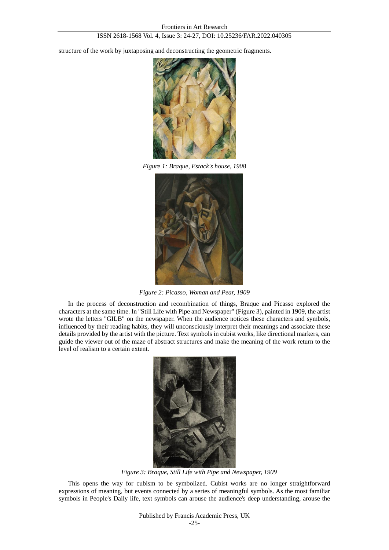## ISSN 2618-1568 Vol. 4, Issue 3: 24-27, DOI: 10.25236/FAR.2022.040305

structure of the work by juxtaposing and deconstructing the geometric fragments.



*Figure 1: Braque, Estack's house, 1908*



*Figure 2: Picasso, Woman and Pear, 1909*

In the process of deconstruction and recombination of things, Braque and Picasso explored the characters at the same time. In "Still Life with Pipe and Newspaper" (Figure 3), painted in 1909, the artist wrote the letters "GILB" on the newspaper. When the audience notices these characters and symbols, influenced by their reading habits, they will unconsciously interpret their meanings and associate these details provided by the artist with the picture. Text symbols in cubist works, like directional markers, can guide the viewer out of the maze of abstract structures and make the meaning of the work return to the level of realism to a certain extent.



*Figure 3: Braque, Still Life with Pipe and Newspaper, 1909*

This opens the way for cubism to be symbolized. Cubist works are no longer straightforward expressions of meaning, but events connected by a series of meaningful symbols. As the most familiar symbols in People's Daily life, text symbols can arouse the audience's deep understanding, arouse the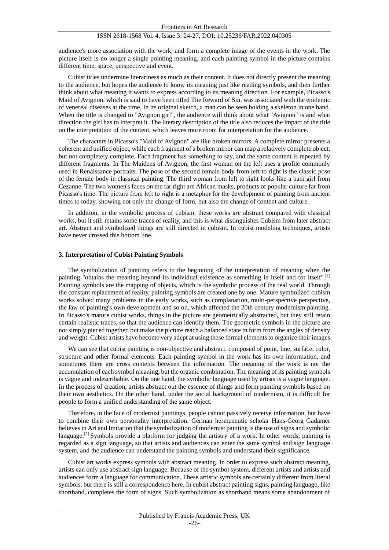#### ISSN 2618-1568 Vol. 4, Issue 3: 24-27, DOI: 10.25236/FAR.2022.040305

audience's more association with the work, and form a complete image of the events in the work. The picture itself is no longer a single pointing meaning, and each painting symbol in the picture contains different time, space, perspective and event.

Cubist titles undermine literariness as much as their content. It does not directly present the meaning to the audience, but hopes the audience to know its meaning just like reading symbols, and then further think about what meaning it wants to express according to its meaning direction. For example, Picasso's Maid of Avignon, which is said to have been titled The Reward of Sin, was associated with the epidemic of venereal diseases at the time. In its original sketch, a man can be seen holding a skeleton in one hand. When the title is changed to "Avignon girl", the audience will think about what "Avignon" is and what direction the girl has to interpret it. The literary description of the title also reduces the impact of the title on the interpretation of the content, which leaves more room for interpretation for the audience.

The characters in Picasso's "Maid of Avignon" are like broken mirrors. A complete mirror presents a coherent and unified object, while each fragment of a broken mirror can map a relatively complete object, but not completely complete. Each fragment has something to say, and the same content is repeated by different fragments. In The Maidens of Avignon, the first woman on the left uses a profile commonly used in Renaissance portraits. The pose of the second female body from left to right is the classic pose of the female body in classical painting. The third woman from left to right looks like a bath girl from Cezanne. The two women's faces on the far right are African masks, products of popular culture far from Picasso's time. The picture from left to right is a metaphor for the development of painting from ancient times to today, showing not only the change of form, but also the change of content and culture.

In addition, in the symbolic process of cubism, these works are abstract compared with classical works, but it still retains some traces of reality, and this is what distinguishes Cubism from later abstract art. Abstract and symbolized things are still directed in cubism. In cubist modeling techniques, artists have never crossed this bottom line.

#### **3. Interpretation of Cubist Painting Symbols**

The symbolization of painting refers to the beginning of the interpretation of meaning when the painting "obtains the meaning beyond its individual existence as something in itself and for itself".<sup>[1]</sup> Painting symbols are the mapping of objects, which is the symbolic process of the real world. Through the constant replacement of reality, painting symbols are created one by one. Mature symbolized cubism works solved many problems in the early works, such as complanation, multi-perspective perspective, the law of painting's own development and so on, which affected the 20th century modernism painting. In Picasso's mature cubist works, things in the picture are geometrically abstracted, but they still retain certain realistic traces, so that the audience can identify them. The geometric symbols in the picture are not simply pieced together, but make the picture reach a balanced state in form from the angles of density and weight. Cubist artists have become very adept at using these formal elements to organize their images.

We can see that cubist painting is non-objective and abstract, composed of point, line, surface, color, structure and other formal elements. Each painting symbol in the work has its own information, and sometimes there are cross contents between the information. The meaning of the work is not the accumulation of each symbol meaning, but the organic combination. The meaning of its painting symbols is vague and indescribable. On the one hand, the symbolic language used by artists is a vague language. In the process of creation, artists abstract out the essence of things and form painting symbols based on their own aesthetics. On the other hand, under the social background of modernism, it is difficult for people to form a unified understanding of the same object.

Therefore, in the face of modernist paintings, people cannot passively receive information, but have to combine their own personality interpretation. German hermeneutic scholar Hans-Georg Gadamer believes in Art and Imitation that the symbolization of modernist painting is the use of signs and symbolic language.[2] Symbols provide a platform for judging the artistry of a work. In other words, painting is regarded as a sign language, so that artists and audiences can enter the same symbol and sign language system, and the audience can understand the painting symbols and understand their significance.

Cubist art works express symbols with abstract meaning. In order to express such abstract meaning, artists can only use abstract sign language. Because of the symbol system, different artists and artists and audiences form a language for communication. These artistic symbols are certainly different from literal symbols, but there is still a correspondence here. In cubist abstract painting signs, painting language, like shorthand, completes the form of signs. Such symbolization as shorthand means some abandonment of